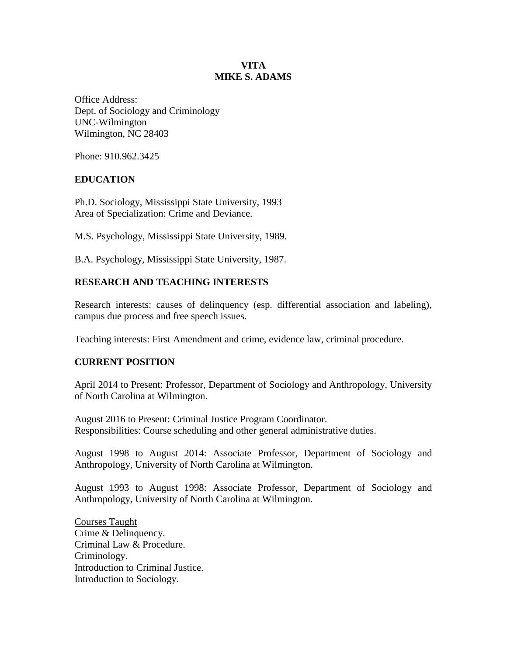## **VITA MIKE S. ADAMS**

Office Address: Dept. of Sociology and Criminology UNC-Wilmington Wilmington, NC 28403

Phone: 910.962.3425

## **EDUCATION**

Ph.D. Sociology, Mississippi State University, 1993 Area of Specialization: Crime and Deviance.

M.S. Psychology, Mississippi State University, 1989.

B.A. Psychology, Mississippi State University, 1987.

# **RESEARCH AND TEACHING INTERESTS**

Research interests: causes of delinquency (esp. differential association and labeling), campus due process and free speech issues.

Teaching interests: First Amendment and crime, evidence law, criminal procedure.

### **CURRENT POSITION**

April 2014 to Present: Professor, Department of Sociology and Anthropology, University of North Carolina at Wilmington.

August 2016 to Present: Criminal Justice Program Coordinator. Responsibilities: Course scheduling and other general administrative duties.

August 1998 to August 2014: Associate Professor, Department of Sociology and Anthropology, University of North Carolina at Wilmington.

August 1993 to August 1998: Associate Professor, Department of Sociology and Anthropology, University of North Carolina at Wilmington.

Courses Taught Crime & Delinquency. Criminal Law & Procedure. Criminology. Introduction to Criminal Justice. Introduction to Sociology.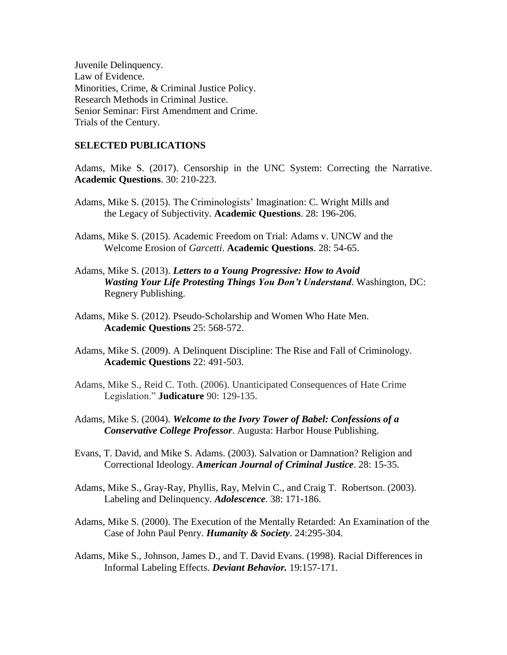Juvenile Delinquency. Law of Evidence. Minorities, Crime, & Criminal Justice Policy. Research Methods in Criminal Justice. Senior Seminar: First Amendment and Crime. Trials of the Century.

### **SELECTED PUBLICATIONS**

Adams, Mike S. (2017). Censorship in the UNC System: Correcting the Narrative. **Academic Questions**. 30: 210-223.

- Adams, Mike S. (2015). The Criminologists' Imagination: C. Wright Mills and the Legacy of Subjectivity. **Academic Questions**. 28: 196-206.
- Adams, Mike S. (2015). Academic Freedom on Trial: Adams v. UNCW and the Welcome Erosion of *Garcetti*. **Academic Questions**. 28: 54-65.
- Adams, Mike S. (2013). *Letters to a Young Progressive: How to Avoid Wasting Your Life Protesting Things You Don't Understand*. Washington, DC: Regnery Publishing.
- Adams, Mike S. (2012). Pseudo-Scholarship and Women Who Hate Men. **Academic Questions** 25: 568-572.
- Adams, Mike S. (2009). A Delinquent Discipline: The Rise and Fall of Criminology. **Academic Questions** 22: 491-503.
- Adams, Mike S., Reid C. Toth. (2006). Unanticipated Consequences of Hate Crime Legislation." **Judicature** 90: 129-135.
- Adams, Mike S. (2004). *Welcome to the Ivory Tower of Babel: Confessions of a Conservative College Professor*. Augusta: Harbor House Publishing.
- Evans, T. David, and Mike S. Adams. (2003). Salvation or Damnation? Religion and Correctional Ideology. *American Journal of Criminal Justice*. 28: 15-35.
- Adams, Mike S., Gray-Ray, Phyllis, Ray, Melvin C., and Craig T. Robertson. (2003). Labeling and Delinquency. *Adolescence*. 38: 171-186.
- Adams, Mike S. (2000). The Execution of the Mentally Retarded: An Examination of the Case of John Paul Penry. *Humanity & Society*. 24:295-304.
- Adams, Mike S., Johnson, James D., and T. David Evans. (1998). Racial Differences in Informal Labeling Effects. *Deviant Behavior.* 19:157-171.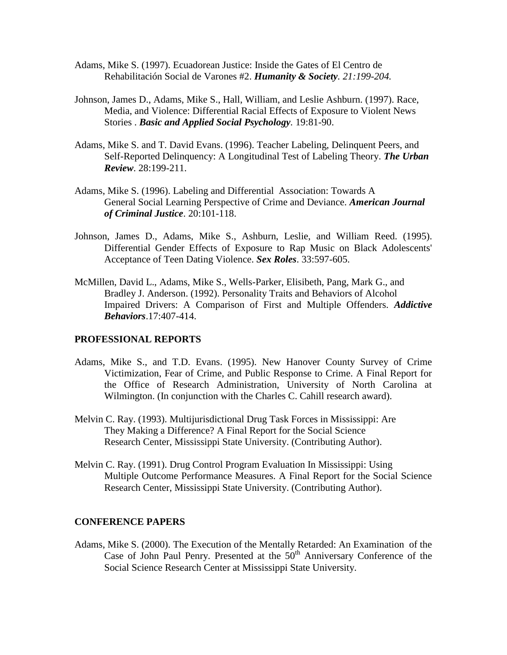- Adams, Mike S. (1997). Ecuadorean Justice: Inside the Gates of El Centro de Rehabilitación Social de Varones #2. *Humanity & Society. 21:199-204.*
- Johnson, James D., Adams, Mike S., Hall, William, and Leslie Ashburn. (1997). Race, Media, and Violence: Differential Racial Effects of Exposure to Violent News Stories . *Basic and Applied Social Psychology.* 19:81-90.
- Adams, Mike S. and T. David Evans. (1996). Teacher Labeling, Delinquent Peers, and Self-Reported Delinquency: A Longitudinal Test of Labeling Theory. *The Urban Review*. 28:199-211.
- Adams, Mike S. (1996). Labeling and Differential Association: Towards A General Social Learning Perspective of Crime and Deviance. *American Journal of Criminal Justice*. 20:101-118.
- Johnson, James D., Adams, Mike S., Ashburn, Leslie, and William Reed. (1995). Differential Gender Effects of Exposure to Rap Music on Black Adolescents' Acceptance of Teen Dating Violence. *Sex Roles*. 33:597-605.
- McMillen, David L., Adams, Mike S., Wells-Parker, Elisibeth, Pang, Mark G., and Bradley J. Anderson. (1992). Personality Traits and Behaviors of Alcohol Impaired Drivers: A Comparison of First and Multiple Offenders. *Addictive Behaviors*.17:407-414.

### **PROFESSIONAL REPORTS**

- Adams, Mike S., and T.D. Evans. (1995). New Hanover County Survey of Crime Victimization, Fear of Crime, and Public Response to Crime. A Final Report for the Office of Research Administration, University of North Carolina at Wilmington. (In conjunction with the Charles C. Cahill research award).
- Melvin C. Ray. (1993). Multijurisdictional Drug Task Forces in Mississippi: Are They Making a Difference? A Final Report for the Social Science Research Center, Mississippi State University. (Contributing Author).
- Melvin C. Ray. (1991). Drug Control Program Evaluation In Mississippi: Using Multiple Outcome Performance Measures. A Final Report for the Social Science Research Center, Mississippi State University. (Contributing Author).

#### **CONFERENCE PAPERS**

Adams, Mike S. (2000). The Execution of the Mentally Retarded: An Examination of the Case of John Paul Penry. Presented at the  $50<sup>th</sup>$  Anniversary Conference of the Social Science Research Center at Mississippi State University.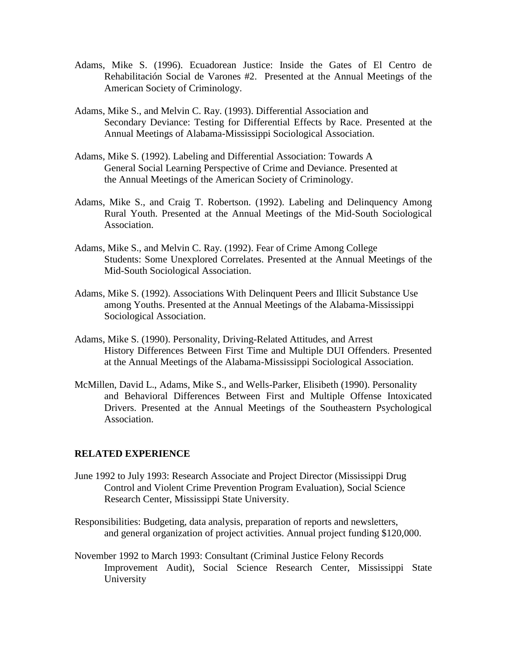- Adams, Mike S. (1996). Ecuadorean Justice: Inside the Gates of El Centro de Rehabilitación Social de Varones #2. Presented at the Annual Meetings of the American Society of Criminology.
- Adams, Mike S., and Melvin C. Ray. (1993). Differential Association and Secondary Deviance: Testing for Differential Effects by Race. Presented at the Annual Meetings of Alabama-Mississippi Sociological Association.
- Adams, Mike S. (1992). Labeling and Differential Association: Towards A General Social Learning Perspective of Crime and Deviance. Presented at the Annual Meetings of the American Society of Criminology.
- Adams, Mike S., and Craig T. Robertson. (1992). Labeling and Delinquency Among Rural Youth. Presented at the Annual Meetings of the Mid-South Sociological Association.
- Adams, Mike S., and Melvin C. Ray. (1992). Fear of Crime Among College Students: Some Unexplored Correlates. Presented at the Annual Meetings of the Mid-South Sociological Association.
- Adams, Mike S. (1992). Associations With Delinquent Peers and Illicit Substance Use among Youths. Presented at the Annual Meetings of the Alabama-Mississippi Sociological Association.
- Adams, Mike S. (1990). Personality, Driving-Related Attitudes, and Arrest History Differences Between First Time and Multiple DUI Offenders. Presented at the Annual Meetings of the Alabama-Mississippi Sociological Association.
- McMillen, David L., Adams, Mike S., and Wells-Parker, Elisibeth (1990). Personality and Behavioral Differences Between First and Multiple Offense Intoxicated Drivers. Presented at the Annual Meetings of the Southeastern Psychological Association.

### **RELATED EXPERIENCE**

- June 1992 to July 1993: Research Associate and Project Director (Mississippi Drug Control and Violent Crime Prevention Program Evaluation), Social Science Research Center, Mississippi State University.
- Responsibilities: Budgeting, data analysis, preparation of reports and newsletters, and general organization of project activities. Annual project funding \$120,000.
- November 1992 to March 1993: Consultant (Criminal Justice Felony Records Improvement Audit), Social Science Research Center, Mississippi State University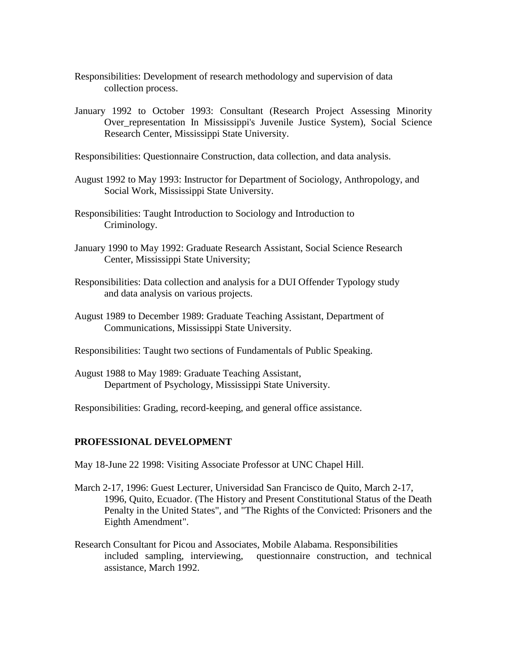- Responsibilities: Development of research methodology and supervision of data collection process.
- January 1992 to October 1993: Consultant (Research Project Assessing Minority Over\_representation In Mississippi's Juvenile Justice System), Social Science Research Center, Mississippi State University.

Responsibilities: Questionnaire Construction, data collection, and data analysis.

- August 1992 to May 1993: Instructor for Department of Sociology, Anthropology, and Social Work, Mississippi State University.
- Responsibilities: Taught Introduction to Sociology and Introduction to Criminology.
- January 1990 to May 1992: Graduate Research Assistant, Social Science Research Center, Mississippi State University;
- Responsibilities: Data collection and analysis for a DUI Offender Typology study and data analysis on various projects.
- August 1989 to December 1989: Graduate Teaching Assistant, Department of Communications, Mississippi State University.
- Responsibilities: Taught two sections of Fundamentals of Public Speaking.
- August 1988 to May 1989: Graduate Teaching Assistant, Department of Psychology, Mississippi State University.

Responsibilities: Grading, record-keeping, and general office assistance.

### **PROFESSIONAL DEVELOPMENT**

May 18-June 22 1998: Visiting Associate Professor at UNC Chapel Hill.

- March 2-17, 1996: Guest Lecturer, Universidad San Francisco de Quito, March 2-17, 1996, Quito, Ecuador. (The History and Present Constitutional Status of the Death Penalty in the United States", and "The Rights of the Convicted: Prisoners and the Eighth Amendment".
- Research Consultant for Picou and Associates, Mobile Alabama. Responsibilities included sampling, interviewing, questionnaire construction, and technical assistance, March 1992.